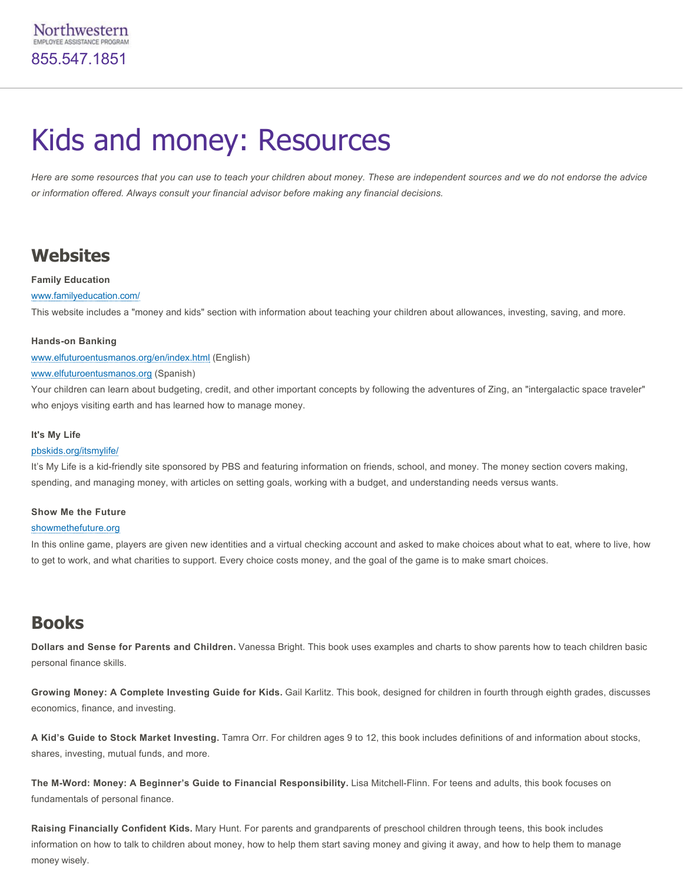# Kids and money: Resources

*Here are some resources that you can use to teach your children about money. These are independent sources and we do not endorse the advice or information offered. Always consult your financial advisor before making any financial decisions.*

## **Websites**

#### **Family Education**

#### [www.familyeducation.com/](http://www.familyeducation.com/)

This website includes a "money and kids" section with information about teaching your children about allowances, investing, saving, and more.

#### **Hands-on Banking**

[www.elfuturoentusmanos.org/en/index.html](http://www.elfuturoentusmanos.org/en/index.html) (English)

#### [www.elfuturoentusmanos.org](http://www.elfuturoentusmanos.org/) (Spanish)

Your children can learn about budgeting, credit, and other important concepts by following the adventures of Zing, an "intergalactic space traveler" who enjoys visiting earth and has learned how to manage money.

#### **It's My Life**

#### [pbskids.org/itsmylife/](http://pbskids.org/itsmylife/)

It's My Life is a kid-friendly site sponsored by PBS and featuring information on friends, school, and money. The money section covers making, spending, and managing money, with articles on setting goals, working with a budget, and understanding needs versus wants.

#### **Show Me the Future**

#### [showmethefuture.org](http://showmethefuture.org/)

In this online game, players are given new identities and a virtual checking account and asked to make choices about what to eat, where to live, how to get to work, and what charities to support. Every choice costs money, and the goal of the game is to make smart choices.

### **Books**

**Dollars and Sense for Parents and Children.** Vanessa Bright. This book uses examples and charts to show parents how to teach children basic personal finance skills.

**Growing Money: A Complete Investing Guide for Kids.** Gail Karlitz. This book, designed for children in fourth through eighth grades, discusses economics, finance, and investing.

**A Kid's Guide to Stock Market Investing.** Tamra Orr. For children ages 9 to 12, this book includes definitions of and information about stocks, shares, investing, mutual funds, and more.

The M-Word: Money: A Beginner's Guide to Financial Responsibility. Lisa Mitchell-Flinn. For teens and adults, this book focuses on fundamentals of personal finance.

**Raising Financially Confident Kids.** Mary Hunt. For parents and grandparents of preschool children through teens, this book includes information on how to talk to children about money, how to help them start saving money and giving it away, and how to help them to manage money wisely.